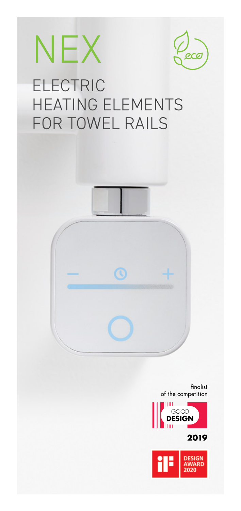

finalist of the competition

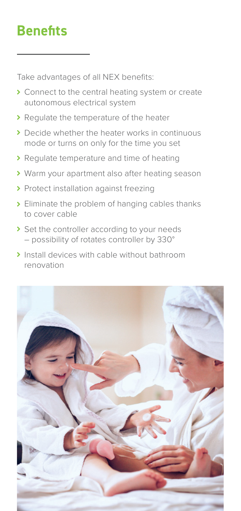## **Benefits**

Take advantages of all NEX benefits:

- **>** Connect to the central heating system or create autonomous electrical system
- Regulate the temperature of the heater
- ▶ Decide whether the heater works in continuous mode or turns on only for the time you set
- Regulate temperature and time of heating
- Warm your apartment also after heating season
- > Protect installation against freezing
- **>** Eliminate the problem of hanging cables thanks to cover cable
- Set the controller according to your needs – possibility of rotates controller by 330°
- Install devices with cable without bathroom renovation

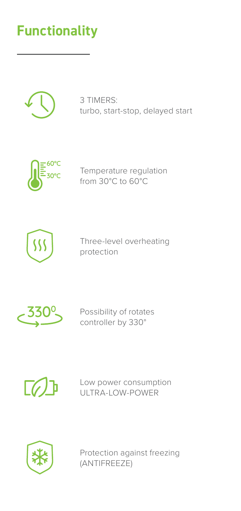## **Functionality**



3 TIMERS: turbo, start-stop, delayed start



Temperature regulation from 30°C to 60°C



Three-level overheating protection



Possibility of rotates controller by 330°



Low power consumption ULTRA-LOW-POWER



Protection against freezing (ANTIFREEZE)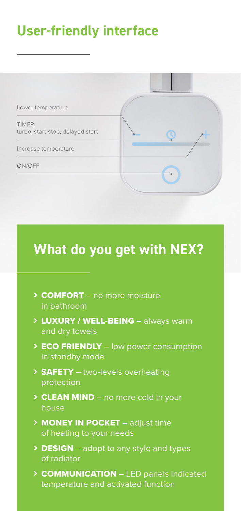### **User-friendly interface**



## **What do you get with NEX?**

- > COMFORT no more moisture in bathroom
- > LUXURY / WELL-BEING always warm and dry towels
- > ECO FRIENDLY low power consumption in standby mode
- > SAFETY two-levels overheating protection
- > CLEAN MIND no more cold in your house
- > **MONEY IN POCKET** adjust time of heating to your needs
- > DESIGN adopt to any style and types of radiator
- **> COMMUNICATION** LED panels indicated temperature and activated function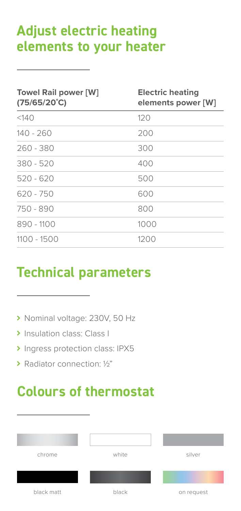## **Adjust electric heating elements to your heater**

| <b>Towel Rail power [W]</b><br>$(75/65/20^{\circ}C)$ | <b>Electric heating</b><br>elements power [W] |
|------------------------------------------------------|-----------------------------------------------|
| <140                                                 | 120                                           |
| $140 - 260$                                          | 200                                           |
| $260 - 380$                                          | 300                                           |
| $380 - 520$                                          | 400                                           |
| $520 - 620$                                          | 500                                           |
| $620 - 750$                                          | 600                                           |
| 750 - 890                                            | 800                                           |
| 890 - 1100                                           | 1000                                          |
| 1100 - 1500                                          | 1200                                          |

#### **Technical parameters**

- ▶ Nominal voltage: 230V, 50 Hz
- > Insulation class: Class I
- Ingress protection class: IPX5
- Radiator connection: ½"

# **Colours of thermostat**